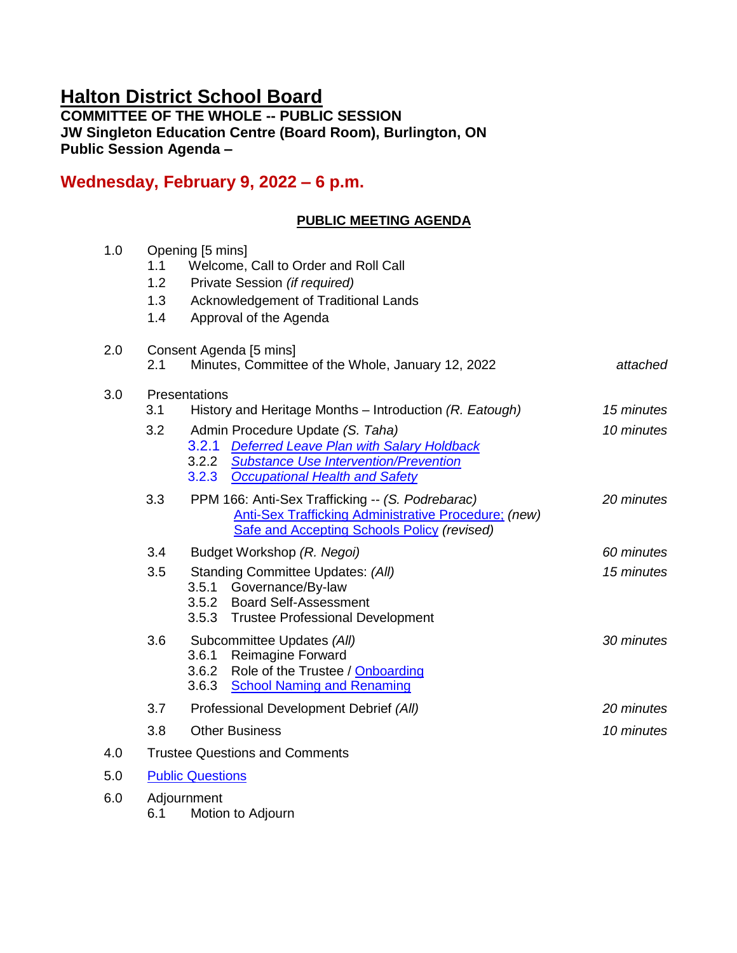# **Halton District School Board**

**COMMITTEE OF THE WHOLE -- PUBLIC SESSION JW Singleton Education Centre (Board Room), Burlington, ON Public Session Agenda –**

## **Wednesday, February 9, 2022 – 6 p.m.**

## **PUBLIC MEETING AGENDA**

| 1.0 | 1.1<br>1.2<br>1.3<br>1.4              | Opening [5 mins]<br>Welcome, Call to Order and Roll Call<br>Private Session (if required)<br>Acknowledgement of Traditional Lands<br>Approval of the Agenda                                                                                                     |                          |  |
|-----|---------------------------------------|-----------------------------------------------------------------------------------------------------------------------------------------------------------------------------------------------------------------------------------------------------------------|--------------------------|--|
| 2.0 | 2.1                                   | Consent Agenda [5 mins]<br>Minutes, Committee of the Whole, January 12, 2022<br>attached                                                                                                                                                                        |                          |  |
| 3.0 | 3.1<br>3.2                            | Presentations<br>History and Heritage Months - Introduction (R. Eatough)<br>Admin Procedure Update (S. Taha)<br>3.2.1 Deferred Leave Plan with Salary Holdback<br><b>Substance Use Intervention/Prevention</b><br>3.2.2<br>3.2.3 Occupational Health and Safety | 15 minutes<br>10 minutes |  |
|     | 3.3                                   | PPM 166: Anti-Sex Trafficking -- (S. Podrebarac)<br>Anti-Sex Trafficking Administrative Procedure; (new)<br><b>Safe and Accepting Schools Policy (revised)</b>                                                                                                  | 20 minutes               |  |
|     | 3.4                                   | Budget Workshop (R. Negoi)                                                                                                                                                                                                                                      | 60 minutes               |  |
|     | 3.5                                   | Standing Committee Updates: (All)<br>3.5.1 Governance/By-law<br>3.5.2 Board Self-Assessment<br>3.5.3 Trustee Professional Development                                                                                                                           | 15 minutes               |  |
|     | 3.6                                   | Subcommittee Updates (All)<br>3.6.1<br><b>Reimagine Forward</b><br>3.6.2 Role of the Trustee / Onboarding<br>3.6.3<br><b>School Naming and Renaming</b>                                                                                                         | 30 minutes               |  |
|     | 3.7                                   | Professional Development Debrief (All)                                                                                                                                                                                                                          | 20 minutes               |  |
|     | 3.8                                   | <b>Other Business</b>                                                                                                                                                                                                                                           | 10 minutes               |  |
| 4.0 | <b>Trustee Questions and Comments</b> |                                                                                                                                                                                                                                                                 |                          |  |
| 5.0 |                                       | <b>Public Questions</b>                                                                                                                                                                                                                                         |                          |  |
| 6.0 |                                       | Adjournment                                                                                                                                                                                                                                                     |                          |  |

6.1 Motion to Adjourn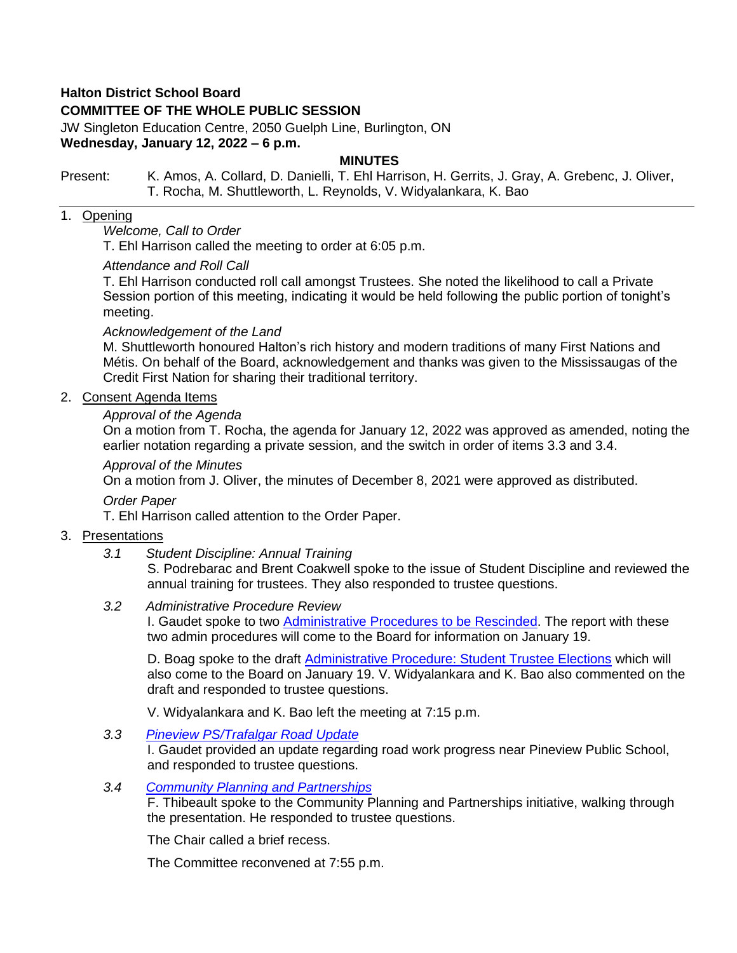## **Halton District School Board**

## **COMMITTEE OF THE WHOLE PUBLIC SESSION**

JW Singleton Education Centre, 2050 Guelph Line, Burlington, ON **Wednesday, January 12, 2022 – 6 p.m.**

#### **MINUTES**

#### Present: K. Amos, A. Collard, D. Danielli, T. Ehl Harrison, H. Gerrits, J. Gray, A. Grebenc, J. Oliver, T. Rocha, M. Shuttleworth, L. Reynolds, V. Widyalankara, K. Bao

## 1. Opening

## *Welcome, Call to Order*

T. Ehl Harrison called the meeting to order at 6:05 p.m.

#### *Attendance and Roll Call*

T. Ehl Harrison conducted roll call amongst Trustees. She noted the likelihood to call a Private Session portion of this meeting, indicating it would be held following the public portion of tonight's meeting.

#### *Acknowledgement of the Land*

M. Shuttleworth honoured Halton's rich history and modern traditions of many First Nations and Métis. On behalf of the Board, acknowledgement and thanks was given to the Mississaugas of the Credit First Nation for sharing their traditional territory.

## 2. Consent Agenda Items

#### *Approval of the Agenda*

On a motion from T. Rocha, the agenda for January 12, 2022 was approved as amended, noting the earlier notation regarding a private session, and the switch in order of items 3.3 and 3.4.

#### *Approval of the Minutes*

On a motion from J. Oliver, the minutes of December 8, 2021 were approved as distributed.

*Order Paper*

T. Ehl Harrison called attention to the Order Paper.

#### 3. Presentations

*3.1 Student Discipline: Annual Training*

S. Podrebarac and Brent Coakwell spoke to the issue of Student Discipline and reviewed the annual training for trustees. They also responded to trustee questions.

#### *3.2 Administrative Procedure Review*

I. Gaudet spoke to two **Administrative Procedures to be Rescinded**. The report with these two admin procedures will come to the Board for information on January 19.

D. Boag spoke to the draft [Administrative Procedure: Student Trustee Elections](https://drive.google.com/file/d/1zHfuxKrOeDXh_5ZYLsZPrpfamPOp9MJL/view?usp=sharing) which will also come to the Board on January 19. V. Widyalankara and K. Bao also commented on the draft and responded to trustee questions.

V. Widyalankara and K. Bao left the meeting at 7:15 p.m.

*3.3 [Pineview PS/Trafalgar Road Update](https://drive.google.com/file/d/1qqyejrKH3aPTULmr7ZbO0FyjGIjLxK8p/view?usp=sharing)*

I. Gaudet provided an update regarding road work progress near Pineview Public School, and responded to trustee questions.

## *3.4 [Community Planning and Partnerships](https://drive.google.com/file/d/12j2hew6tBou221EQ9a4rvadG6p3KYic_/view?usp=sharing)*

F. Thibeault spoke to the Community Planning and Partnerships initiative, walking through the presentation. He responded to trustee questions.

The Chair called a brief recess.

The Committee reconvened at 7:55 p.m.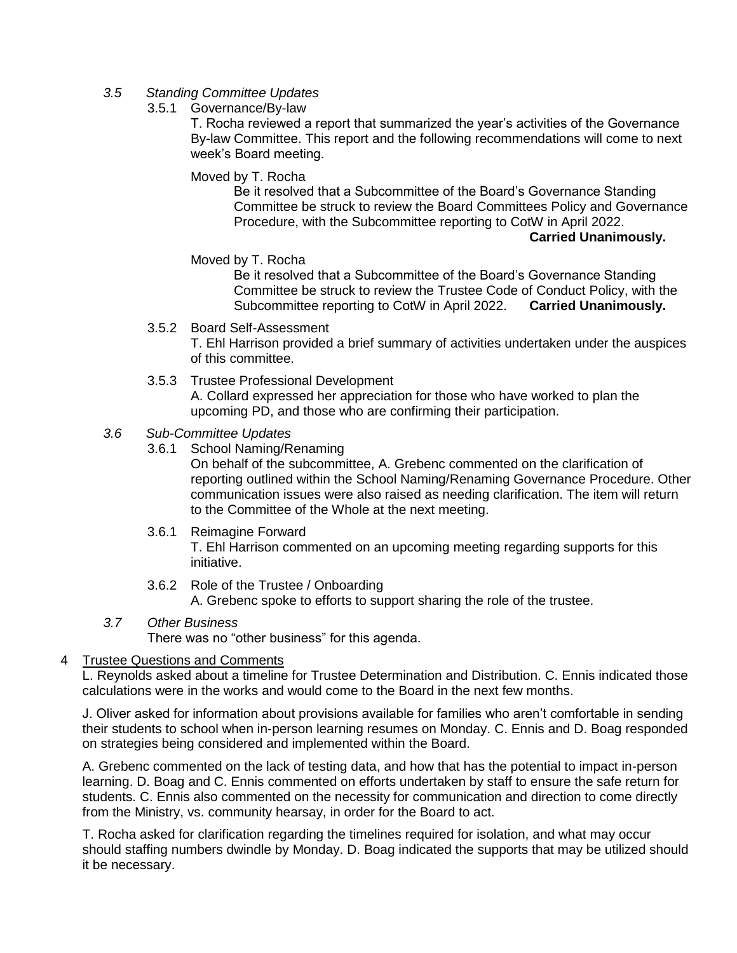- *3.5 Standing Committee Updates*
	- 3.5.1 Governance/By-law

T. Rocha reviewed a report that summarized the year's activities of the Governance By-law Committee. This report and the following recommendations will come to next week's Board meeting.

Moved by T. Rocha

Be it resolved that a Subcommittee of the Board's Governance Standing Committee be struck to review the Board Committees Policy and Governance Procedure, with the Subcommittee reporting to CotW in April 2022.

#### **Carried Unanimously.**

#### Moved by T. Rocha

Be it resolved that a Subcommittee of the Board's Governance Standing Committee be struck to review the Trustee Code of Conduct Policy, with the Subcommittee reporting to CotW in April 2022. **Carried Unanimously.**

#### 3.5.2 Board Self-Assessment

T. Ehl Harrison provided a brief summary of activities undertaken under the auspices of this committee.

3.5.3 Trustee Professional Development

A. Collard expressed her appreciation for those who have worked to plan the upcoming PD, and those who are confirming their participation.

- *3.6 Sub-Committee Updates*
	- 3.6.1 School Naming/Renaming

On behalf of the subcommittee, A. Grebenc commented on the clarification of reporting outlined within the School Naming/Renaming Governance Procedure. Other communication issues were also raised as needing clarification. The item will return to the Committee of the Whole at the next meeting.

## 3.6.1 Reimagine Forward

T. Ehl Harrison commented on an upcoming meeting regarding supports for this initiative.

- 3.6.2 Role of the Trustee / Onboarding A. Grebenc spoke to efforts to support sharing the role of the trustee.
- *3.7 Other Business*

There was no "other business" for this agenda.

## 4 Trustee Questions and Comments

L. Reynolds asked about a timeline for Trustee Determination and Distribution. C. Ennis indicated those calculations were in the works and would come to the Board in the next few months.

J. Oliver asked for information about provisions available for families who aren't comfortable in sending their students to school when in-person learning resumes on Monday. C. Ennis and D. Boag responded on strategies being considered and implemented within the Board.

A. Grebenc commented on the lack of testing data, and how that has the potential to impact in-person learning. D. Boag and C. Ennis commented on efforts undertaken by staff to ensure the safe return for students. C. Ennis also commented on the necessity for communication and direction to come directly from the Ministry, vs. community hearsay, in order for the Board to act.

T. Rocha asked for clarification regarding the timelines required for isolation, and what may occur should staffing numbers dwindle by Monday. D. Boag indicated the supports that may be utilized should it be necessary.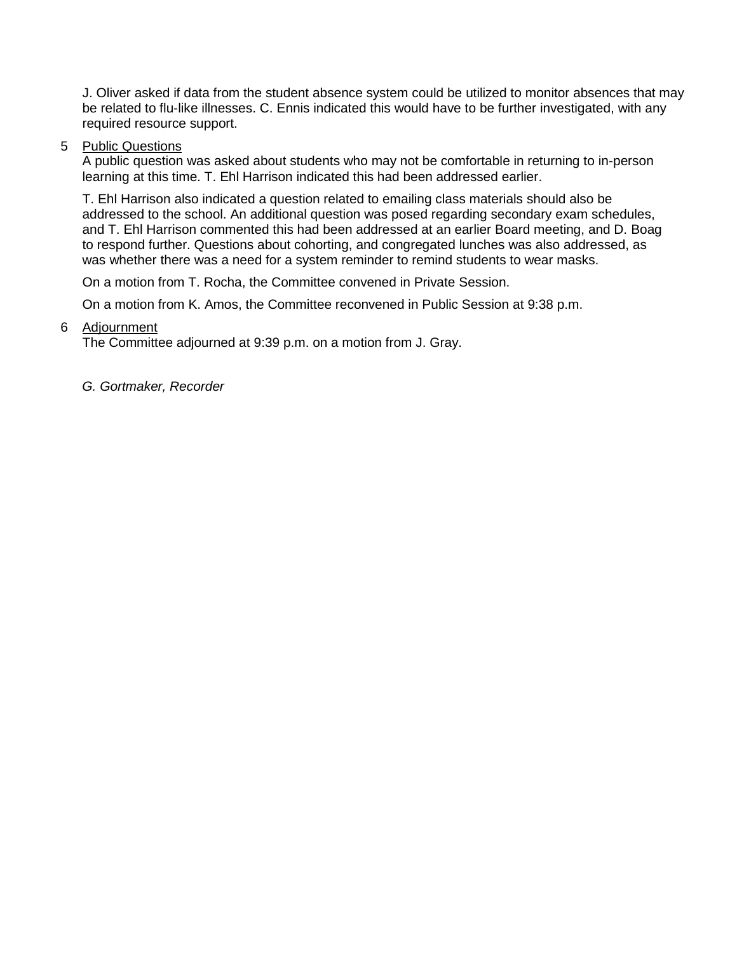J. Oliver asked if data from the student absence system could be utilized to monitor absences that may be related to flu-like illnesses. C. Ennis indicated this would have to be further investigated, with any required resource support.

#### 5 Public Questions

A public question was asked about students who may not be comfortable in returning to in-person learning at this time. T. Ehl Harrison indicated this had been addressed earlier.

T. Ehl Harrison also indicated a question related to emailing class materials should also be addressed to the school. An additional question was posed regarding secondary exam schedules, and T. Ehl Harrison commented this had been addressed at an earlier Board meeting, and D. Boag to respond further. Questions about cohorting, and congregated lunches was also addressed, as was whether there was a need for a system reminder to remind students to wear masks.

On a motion from T. Rocha, the Committee convened in Private Session.

On a motion from K. Amos, the Committee reconvened in Public Session at 9:38 p.m.

## 6 Adjournment

The Committee adjourned at 9:39 p.m. on a motion from J. Gray.

*G. Gortmaker, Recorder*